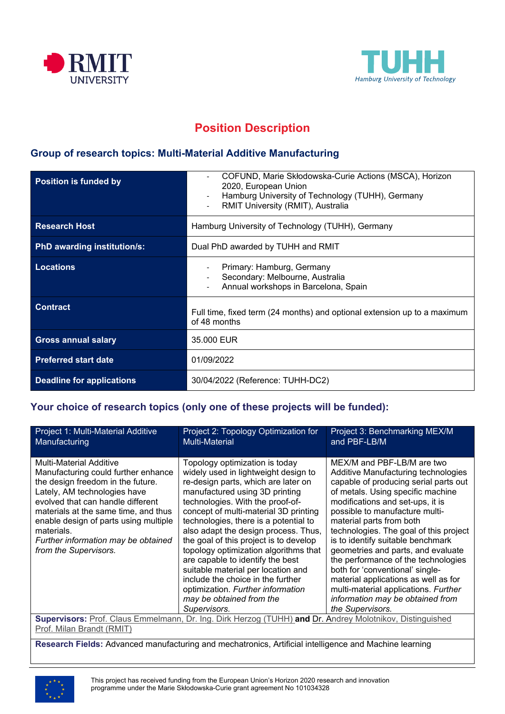



# **Position Description**

### **Group of research topics: Multi-Material Additive Manufacturing**

| <b>Position is funded by</b>       | COFUND, Marie Skłodowska-Curie Actions (MSCA), Horizon<br>2020, European Union<br>Hamburg University of Technology (TUHH), Germany<br>RMIT University (RMIT), Australia |
|------------------------------------|-------------------------------------------------------------------------------------------------------------------------------------------------------------------------|
| <b>Research Host</b>               | Hamburg University of Technology (TUHH), Germany                                                                                                                        |
| <b>PhD awarding institution/s:</b> | Dual PhD awarded by TUHH and RMIT                                                                                                                                       |
| <b>Locations</b>                   | Primary: Hamburg, Germany<br>Secondary: Melbourne, Australia<br>Annual workshops in Barcelona, Spain                                                                    |
| <b>Contract</b>                    | Full time, fixed term (24 months) and optional extension up to a maximum<br>of 48 months                                                                                |
| <b>Gross annual salary</b>         | 35,000 EUR                                                                                                                                                              |
| <b>Preferred start date</b>        | 01/09/2022                                                                                                                                                              |
| <b>Deadline for applications</b>   | 30/04/2022 (Reference: TUHH-DC2)                                                                                                                                        |

### **Your choice of research topics (only one of these projects will be funded):**

| Project 1: Multi-Material Additive<br>Manufacturing                                                                                                                                                                                                                                                                                            | Project 2: Topology Optimization for<br><b>Multi-Material</b>                                                                                                                                                                                                                                                                                                                                                                                                                                                                                                                                    | Project 3: Benchmarking MEX/M<br>and PBF-LB/M                                                                                                                                                                                                                                                                                                                                                                                                                                                                                                                                            |  |
|------------------------------------------------------------------------------------------------------------------------------------------------------------------------------------------------------------------------------------------------------------------------------------------------------------------------------------------------|--------------------------------------------------------------------------------------------------------------------------------------------------------------------------------------------------------------------------------------------------------------------------------------------------------------------------------------------------------------------------------------------------------------------------------------------------------------------------------------------------------------------------------------------------------------------------------------------------|------------------------------------------------------------------------------------------------------------------------------------------------------------------------------------------------------------------------------------------------------------------------------------------------------------------------------------------------------------------------------------------------------------------------------------------------------------------------------------------------------------------------------------------------------------------------------------------|--|
| <b>Multi-Material Additive</b><br>Manufacturing could further enhance<br>the design freedom in the future.<br>Lately, AM technologies have<br>evolved that can handle different<br>materials at the same time, and thus<br>enable design of parts using multiple<br>materials.<br>Further information may be obtained<br>from the Supervisors. | Topology optimization is today<br>widely used in lightweight design to<br>re-design parts, which are later on<br>manufactured using 3D printing<br>technologies. With the proof-of-<br>concept of multi-material 3D printing<br>technologies, there is a potential to<br>also adapt the design process. Thus,<br>the goal of this project is to develop<br>topology optimization algorithms that<br>are capable to identify the best<br>suitable material per location and<br>include the choice in the further<br>optimization. Further information<br>may be obtained from the<br>Supervisors. | MEX/M and PBF-LB/M are two<br>Additive Manufacturing technologies<br>capable of producing serial parts out<br>of metals. Using specific machine<br>modifications and set-ups, it is<br>possible to manufacture multi-<br>material parts from both<br>technologies. The goal of this project<br>is to identify suitable benchmark<br>geometries and parts, and evaluate<br>the performance of the technologies<br>both for 'conventional' single-<br>material applications as well as for<br>multi-material applications. Further<br>information may be obtained from<br>the Supervisors. |  |
| Supervisors: Prof. Claus Emmelmann, Dr. Ing. Dirk Herzog (TUHH) and Dr. Andrey Molotnikov, Distinguished                                                                                                                                                                                                                                       |                                                                                                                                                                                                                                                                                                                                                                                                                                                                                                                                                                                                  |                                                                                                                                                                                                                                                                                                                                                                                                                                                                                                                                                                                          |  |
| $\cdots$ $\cdots$                                                                                                                                                                                                                                                                                                                              |                                                                                                                                                                                                                                                                                                                                                                                                                                                                                                                                                                                                  |                                                                                                                                                                                                                                                                                                                                                                                                                                                                                                                                                                                          |  |

Prof. Milan Brandt (RMIT)

**Research Fields:** Advanced manufacturing and mechatronics, Artificial intelligence and Machine learning

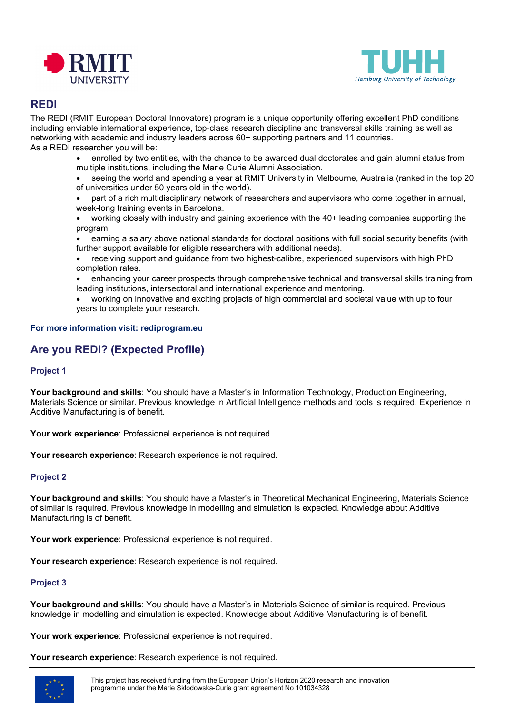



### **REDI**

The REDI (RMIT European Doctoral Innovators) program is a unique opportunity offering excellent PhD conditions including enviable international experience, top-class research discipline and transversal skills training as well as networking with academic and industry leaders across 60+ supporting partners and 11 countries. As a REDI researcher you will be:

- enrolled by two entities, with the chance to be awarded dual doctorates and gain alumni status from multiple institutions, including the Marie Curie Alumni Association.
- seeing the world and spending a year at RMIT University in Melbourne, Australia (ranked in the top 20 of universities under 50 years old in the world).
- part of a rich multidisciplinary network of researchers and supervisors who come together in annual, week-long training events in Barcelona.
- working closely with industry and gaining experience with the 40+ leading companies supporting the program.
- earning a salary above national standards for doctoral positions with full social security benefits (with further support available for eligible researchers with additional needs).
- receiving support and guidance from two highest-calibre, experienced supervisors with high PhD completion rates.
- enhancing your career prospects through comprehensive technical and transversal skills training from leading institutions, intersectoral and international experience and mentoring.
- working on innovative and exciting projects of high commercial and societal value with up to four years to complete your research.

#### **For more information visit: rediprogram.eu**

## **Are you REDI? (Expected Profile)**

#### **Project 1**

**Your background and skills**: You should have a Master's in Information Technology, Production Engineering, Materials Science or similar. Previous knowledge in Artificial Intelligence methods and tools is required. Experience in Additive Manufacturing is of benefit.

**Your work experience**: Professional experience is not required.

**Your research experience**: Research experience is not required.

#### **Project 2**

**Your background and skills**: You should have a Master's in Theoretical Mechanical Engineering, Materials Science of similar is required. Previous knowledge in modelling and simulation is expected. Knowledge about Additive Manufacturing is of benefit.

**Your work experience**: Professional experience is not required.

**Your research experience**: Research experience is not required.

#### **Project 3**

**Your background and skills**: You should have a Master's in Materials Science of similar is required. Previous knowledge in modelling and simulation is expected. Knowledge about Additive Manufacturing is of benefit.

**Your work experience**: Professional experience is not required.

**Your research experience**: Research experience is not required.

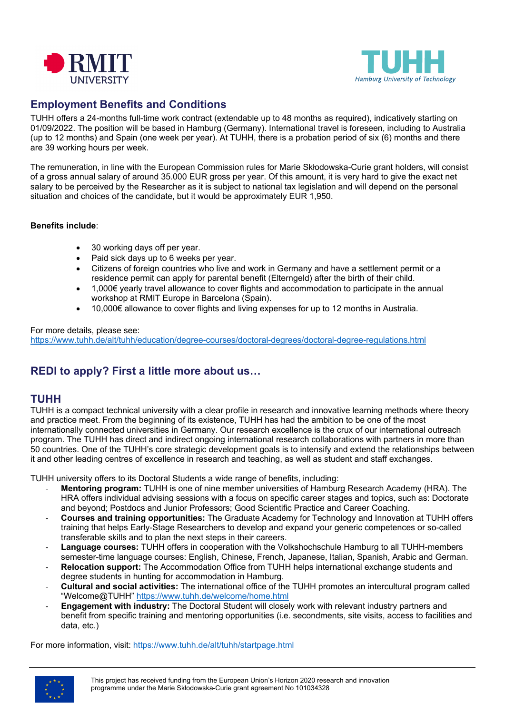



### **Employment Benefits and Conditions**

TUHH offers a 24-months full-time work contract (extendable up to 48 months as required), indicatively starting on 01/09/2022. The position will be based in Hamburg (Germany). International travel is foreseen, including to Australia (up to 12 months) and Spain (one week per year). At TUHH, there is a probation period of six (6) months and there are 39 working hours per week.

The remuneration, in line with the European Commission rules for Marie Skłodowska-Curie grant holders, will consist of a gross annual salary of around 35.000 EUR gross per year. Of this amount, it is very hard to give the exact net salary to be perceived by the Researcher as it is subject to national tax legislation and will depend on the personal situation and choices of the candidate, but it would be approximately EUR 1,950.

#### **Benefits include**:

- 30 working days off per year.
- Paid sick days up to 6 weeks per year.
- Citizens of foreign countries who live and work in Germany and have a settlement permit or a residence permit can apply for parental benefit (Elterngeld) after the birth of their child.
- 1,000€ yearly travel allowance to cover flights and accommodation to participate in the annual workshop at RMIT Europe in Barcelona (Spain).
- 10,000€ allowance to cover flights and living expenses for up to 12 months in Australia.

#### For more details, please see:

https://www.tuhh.de/alt/tuhh/education/degree[-courses/doctoral-degrees/doctoral-degree-regulations.html](https://www.tuhh.de/alt/tuhh/education/degree-courses/doctoral-degrees/doctoral-degree-regulations.html)

## **REDI to apply? First a little more about us…**

#### **TUHH**

TUHH is a compact technical university with a clear profile in research and innovative learning methods where theory and practice meet. From the beginning of its existence, TUHH has had the ambition to be one of the most internationally connected universities in Germany. Our research excellence is the crux of our international outreach program. The TUHH has direct and indirect ongoing international research collaborations with partners in more than 50 countries. One of the TUHH's core strategic development goals is to intensify and extend the relationships between it and other leading centres of excellence in research and teaching, as well as student and staff exchanges.

TUHH university offers to its Doctoral Students a wide range of benefits, including:

- **Mentoring program:** TUHH is one of nine member universities of Hamburg Research Academy (HRA). The HRA offers individual advising sessions with a focus on specific career stages and topics, such as: Doctorate and beyond; Postdocs and Junior Professors; Good Scientific Practice and Career Coaching.
- **Courses and training opportunities:** The Graduate Academy for Technology and Innovation at TUHH offers training that helps Early-Stage Researchers to develop and expand your generic competences or so-called transferable skills and to plan the next steps in their careers.
- **Language courses:** TUHH offers in cooperation with the Volkshochschule Hamburg to all TUHH-members semester-time language courses: English, Chinese, French, Japanese, Italian, Spanish, Arabic and German.
- **Relocation support:** The Accommodation Office from TUHH helps international exchange students and degree students in hunting for accommodation in Hamburg.
- **Cultural and social activities:** The international office of the TUHH promotes an intercultural program called "Welcome@TUHH" <https://www.tuhh.de/welcome/home.html>
- **Engagement with industry:** The Doctoral Student will closely work with relevant industry partners and benefit from specific training and mentoring opportunities (i.e. secondments, site visits, access to facilities and data, etc.)

For more information, visit: <https://www.tuhh.de/alt/tuhh/startpage.html>

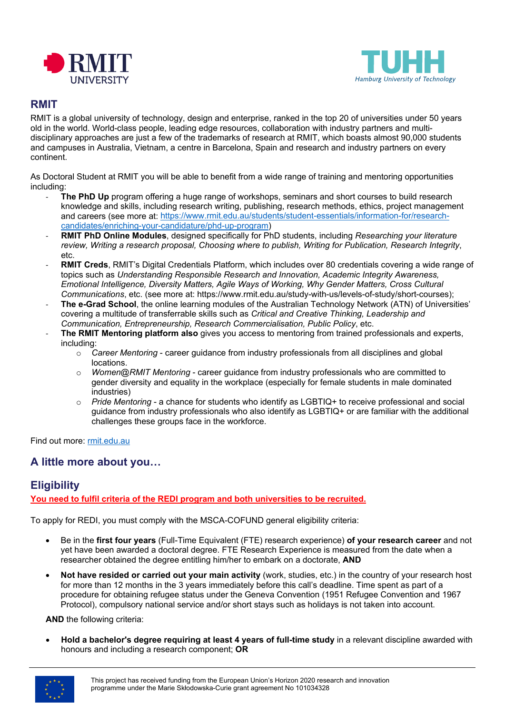



### **RMIT**

RMIT is a global university of technology, design and enterprise, ranked in the top 20 of universities under 50 years old in the world. World-class people, leading edge resources, collaboration with industry partners and multidisciplinary approaches are just a few of the trademarks of research at RMIT, which boasts almost 90,000 students and campuses in Australia, Vietnam, a centre in Barcelona, Spain and research and industry partners on every continent.

As Doctoral Student at RMIT you will be able to benefit from a wide range of training and mentoring opportunities including:

- **The PhD Up** program offering a huge range of workshops, seminars and short courses to build research knowledge and skills, including research writing, publishing, research methods, ethics, project management and careers (see more at: [https://www.rmit.edu.au/students/student](https://www.rmit.edu.au/students/student-essentials/information-for/research-candidates/enriching-your-candidature/phd-up-program)-essentials/information-for/research[candidates/enriching-your-candidature/phd-up-program\)](https://www.rmit.edu.au/students/student-essentials/information-for/research-candidates/enriching-your-candidature/phd-up-program)
- **RMIT PhD Online Modules**, designed specifically for PhD students, including *Researching your literature review, Writing a research proposal, Choosing where to publish, Writing for Publication, Research Integrity*, etc.
- **RMIT Creds**, RMIT's Digital Credentials Platform, which includes over 80 credentials covering a wide range of topics such as *Understanding Responsible Research and Innovation, Academic Integrity Awareness, Emotional Intelligence, Diversity Matters, Agile Ways of Working, Why Gender Matters, Cross Cultural Communications*, etc. (see more at: https://www.rmit.edu.au/study-with-us/levels-of-study/short-courses);
- The e-Grad School, the online learning modules of the Australian Technology Network (ATN) of Universities' covering a multitude of transferrable skills such as *Critical and Creative Thinking, Leadership and Communication, Entrepreneurship, Research Commercialisation, Public Policy*, etc.
- **The RMIT Mentoring platform also** gives you access to mentoring from trained professionals and experts, including:
	- o *Career Mentoring* career guidance from industry professionals from all disciplines and global locations.
	- o *Women@RMIT Mentoring* career guidance from industry professionals who are committed to gender diversity and equality in the workplace (especially for female students in male dominated industries)
	- *Pride Mentoring* a chance for students who identify as LGBTIQ+ to receive professional and social guidance from industry professionals who also identify as LGBTIQ+ or are familiar with the additional challenges these groups face in the workforce.

Find out more: [rmit.edu.au](https://www.rmit.edu.au/)

## **A little more about you…**

## **Eligibility**

**You need to fulfil criteria of the REDI program and both universities to be recruited.**

To apply for REDI, you must comply with the MSCA-COFUND general eligibility criteria:

- Be in the **first four years** (Full-Time Equivalent (FTE) research experience) **of your research career** and not yet have been awarded a doctoral degree. FTE Research Experience is measured from the date when a researcher obtained the degree entitling him/her to embark on a doctorate, **AND**
- **Not have resided or carried out your main activity** (work, studies, etc.) in the country of your research host for more than 12 months in the 3 years immediately before this call's deadline. Time spent as part of a procedure for obtaining refugee status under the Geneva Convention (1951 Refugee Convention and 1967 Protocol), compulsory national service and/or short stays such as holidays is not taken into account.

**AND** the following criteria:

• **Hold a bachelor's degree requiring at least 4 years of full-time study** in a relevant discipline awarded with honours and including a research component; **OR**